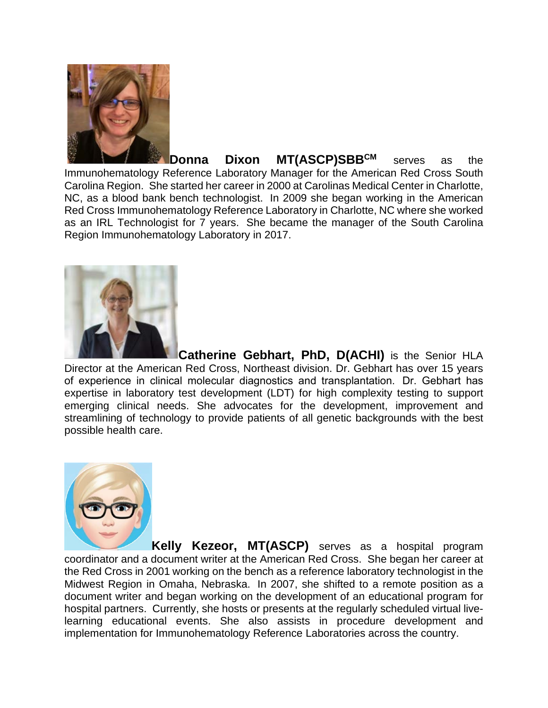

**Donna Dixon MT(ASCP)SBBCM** serves as the Immunohematology Reference Laboratory Manager for the American Red Cross South Carolina Region. She started her career in 2000 at Carolinas Medical Center in Charlotte, NC, as a blood bank bench technologist. In 2009 she began working in the American Red Cross Immunohematology Reference Laboratory in Charlotte, NC where she worked as an IRL Technologist for 7 years. She became the manager of the South Carolina Region Immunohematology Laboratory in 2017.



**Catherine Gebhart, PhD, D(ACHI)** is the Senior HLA Director at the American Red Cross, Northeast division. Dr. Gebhart has over 15 years of experience in clinical molecular diagnostics and transplantation.  Dr. Gebhart has expertise in laboratory test development (LDT) for high complexity testing to support emerging clinical needs. She advocates for the development, improvement and streamlining of technology to provide patients of all genetic backgrounds with the best possible health care.



**Kelly Kezeor, MT(ASCP)** serves as a hospital program coordinator and a document writer at the American Red Cross. She began her career at the Red Cross in 2001 working on the bench as a reference laboratory technologist in the Midwest Region in Omaha, Nebraska. In 2007, she shifted to a remote position as a document writer and began working on the development of an educational program for hospital partners. Currently, she hosts or presents at the regularly scheduled virtual livelearning educational events. She also assists in procedure development and implementation for Immunohematology Reference Laboratories across the country.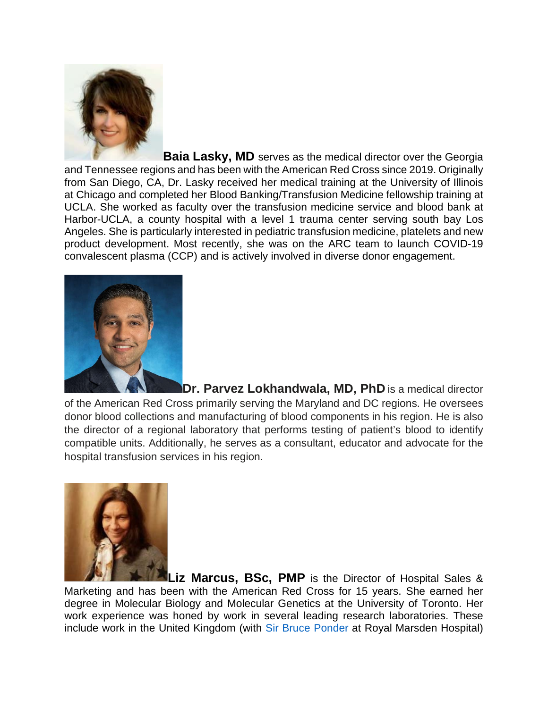

**Baia Lasky, MD** serves as the medical director over the Georgia and Tennessee regions and has been with the American Red Cross since 2019. Originally from San Diego, CA, Dr. Lasky received her medical training at the University of Illinois at Chicago and completed her Blood Banking/Transfusion Medicine fellowship training at UCLA. She worked as faculty over the transfusion medicine service and blood bank at Harbor-UCLA, a county hospital with a level 1 trauma center serving south bay Los Angeles. She is particularly interested in pediatric transfusion medicine, platelets and new product development. Most recently, she was on the ARC team to launch COVID-19 convalescent plasma (CCP) and is actively involved in diverse donor engagement.



**Dr. Parvez Lokhandwala, MD, PhD** is a medical director of the American Red Cross primarily serving the Maryland and DC regions. He oversees donor blood collections and manufacturing of blood components in his region. He is also the director of a regional laboratory that performs testing of patient's blood to identify compatible units. Additionally, he serves as a consultant, educator and advocate for the hospital transfusion services in his region.



**Liz Marcus, BSc, PMP** is the Director of Hospital Sales & Marketing and has been with the American Red Cross for 15 years. She earned her degree in Molecular Biology and Molecular Genetics at the University of Toronto. Her work experience was honed by work in several leading research laboratories. These include work in the United Kingdom (with Sir Bruce Ponder at Royal Marsden Hospital)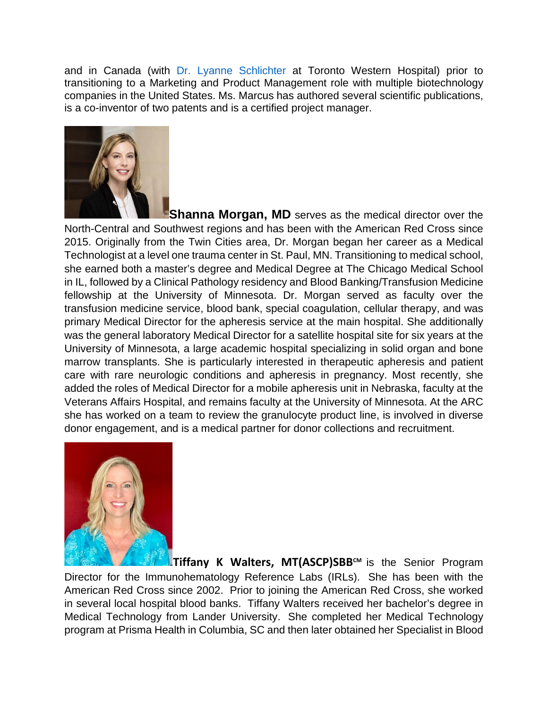and in Canada (with Dr. Lyanne Schlichter at Toronto Western Hospital) prior to transitioning to a Marketing and Product Management role with multiple biotechnology companies in the United States. Ms. Marcus has authored several scientific publications, is a co-inventor of two patents and is a certified project manager.



**Shanna Morgan, MD** serves as the medical director over the North-Central and Southwest regions and has been with the American Red Cross since 2015. Originally from the Twin Cities area, Dr. Morgan began her career as a Medical Technologist at a level one trauma center in St. Paul, MN. Transitioning to medical school, she earned both a master's degree and Medical Degree at The Chicago Medical School in IL, followed by a Clinical Pathology residency and Blood Banking/Transfusion Medicine fellowship at the University of Minnesota. Dr. Morgan served as faculty over the transfusion medicine service, blood bank, special coagulation, cellular therapy, and was primary Medical Director for the apheresis service at the main hospital. She additionally was the general laboratory Medical Director for a satellite hospital site for six years at the University of Minnesota, a large academic hospital specializing in solid organ and bone marrow transplants. She is particularly interested in therapeutic apheresis and patient care with rare neurologic conditions and apheresis in pregnancy. Most recently, she added the roles of Medical Director for a mobile apheresis unit in Nebraska, faculty at the Veterans Affairs Hospital, and remains faculty at the University of Minnesota. At the ARC she has worked on a team to review the granulocyte product line, is involved in diverse donor engagement, and is a medical partner for donor collections and recruitment.



**Tiffany K Walters, MT(ASCP)SBB<sup>™</sup> is the Senior Program** Director for the Immunohematology Reference Labs (IRLs). She has been with the American Red Cross since 2002. Prior to joining the American Red Cross, she worked in several local hospital blood banks. Tiffany Walters received her bachelor's degree in Medical Technology from Lander University. She completed her Medical Technology program at Prisma Health in Columbia, SC and then later obtained her Specialist in Blood